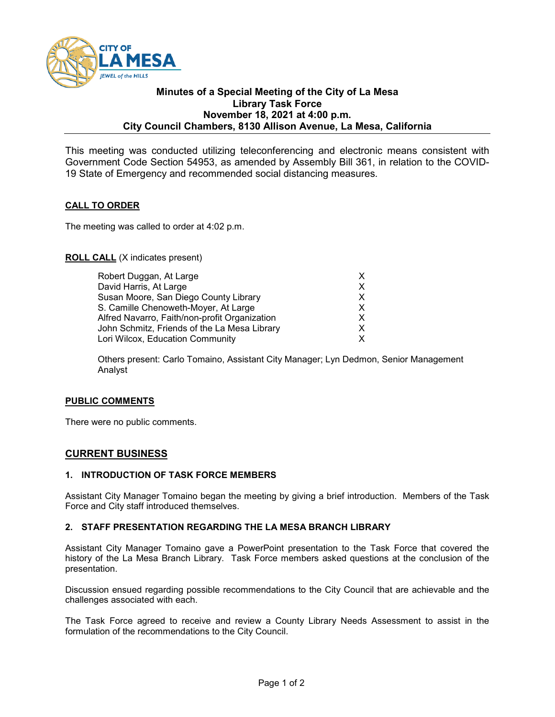

### **Minutes of a Special Meeting of the City of La Mesa Library Task Force November 18, 2021 at 4:00 p.m. City Council Chambers, 8130 Allison Avenue, La Mesa, California**

This meeting was conducted utilizing teleconferencing and electronic means consistent with Government Code Section 54953, as amended by Assembly Bill 361, in relation to the COVID-19 State of Emergency and recommended social distancing measures.

## **CALL TO ORDER**

The meeting was called to order at 4:02 p.m.

## **ROLL CALL** (X indicates present)

| Robert Duggan, At Large                            |
|----------------------------------------------------|
| David Harris, At Large<br>X                        |
| Susan Moore, San Diego County Library<br>X         |
| S. Camille Chenoweth-Moyer, At Large               |
| Alfred Navarro, Faith/non-profit Organization      |
| John Schmitz, Friends of the La Mesa Library<br>X. |
| Lori Wilcox, Education Community                   |
|                                                    |

Others present: Carlo Tomaino, Assistant City Manager; Lyn Dedmon, Senior Management Analyst

## **PUBLIC COMMENTS**

There were no public comments.

## **CURRENT BUSINESS**

## **1. INTRODUCTION OF TASK FORCE MEMBERS**

Assistant City Manager Tomaino began the meeting by giving a brief introduction. Members of the Task Force and City staff introduced themselves.

#### **2. STAFF PRESENTATION REGARDING THE LA MESA BRANCH LIBRARY**

Assistant City Manager Tomaino gave a PowerPoint presentation to the Task Force that covered the history of the La Mesa Branch Library. Task Force members asked questions at the conclusion of the presentation.

Discussion ensued regarding possible recommendations to the City Council that are achievable and the challenges associated with each.

The Task Force agreed to receive and review a County Library Needs Assessment to assist in the formulation of the recommendations to the City Council.